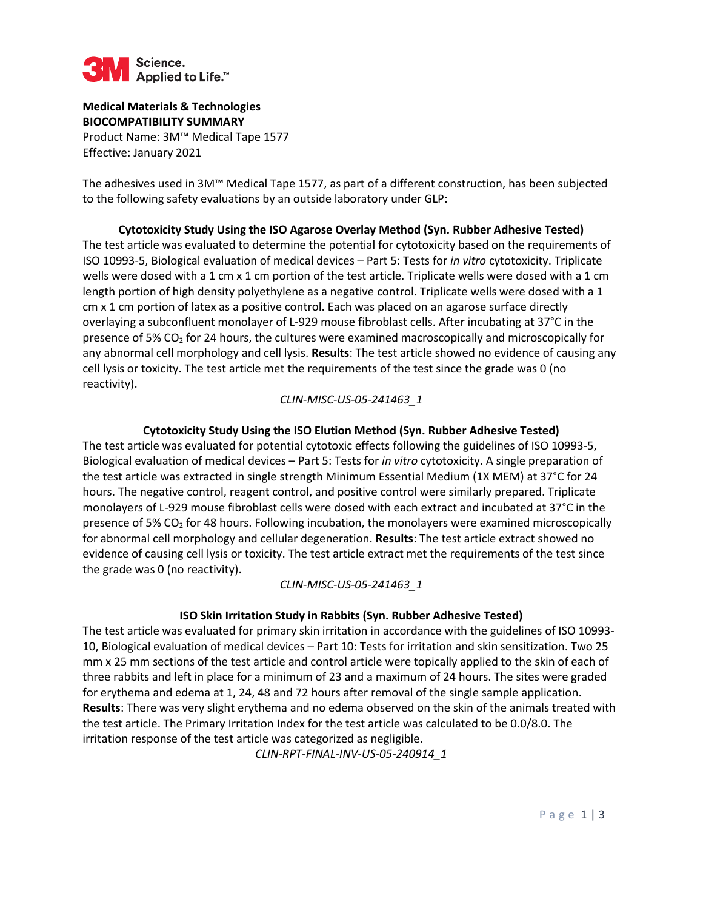

**Medical Materials & Technologies BIOCOMPATIBILITY SUMMARY**  Product Name: 3M™ Medical Tape 1577 Effective: January 2021

The adhesives used in 3M™ Medical Tape 1577, as part of a different construction, has been subjected to the following safety evaluations by an outside laboratory under GLP:

**Cytotoxicity Study Using the ISO Agarose Overlay Method (Syn. Rubber Adhesive Tested)**  The test article was evaluated to determine the potential for cytotoxicity based on the requirements of ISO 10993-5, Biological evaluation of medical devices – Part 5: Tests for *in vitro* cytotoxicity. Triplicate wells were dosed with a 1 cm x 1 cm portion of the test article. Triplicate wells were dosed with a 1 cm length portion of high density polyethylene as a negative control. Triplicate wells were dosed with a 1 cm x 1 cm portion of latex as a positive control. Each was placed on an agarose surface directly overlaying a subconfluent monolayer of L-929 mouse fibroblast cells. After incubating at 37°C in the presence of 5%  $CO<sub>2</sub>$  for 24 hours, the cultures were examined macroscopically and microscopically for any abnormal cell morphology and cell lysis. **Results**: The test article showed no evidence of causing any cell lysis or toxicity. The test article met the requirements of the test since the grade was 0 (no reactivity).

#### *CLIN-MISC-US-05-241463\_1*

## **Cytotoxicity Study Using the ISO Elution Method (Syn. Rubber Adhesive Tested)**

The test article was evaluated for potential cytotoxic effects following the guidelines of ISO 10993-5, Biological evaluation of medical devices – Part 5: Tests for *in vitro* cytotoxicity. A single preparation of the test article was extracted in single strength Minimum Essential Medium (1X MEM) at 37°C for 24 hours. The negative control, reagent control, and positive control were similarly prepared. Triplicate monolayers of L-929 mouse fibroblast cells were dosed with each extract and incubated at 37°C in the presence of 5% CO<sub>2</sub> for 48 hours. Following incubation, the monolayers were examined microscopically for abnormal cell morphology and cellular degeneration. **Results**: The test article extract showed no evidence of causing cell lysis or toxicity. The test article extract met the requirements of the test since the grade was 0 (no reactivity).

## *CLIN-MISC-US-05-241463\_1*

## **ISO Skin Irritation Study in Rabbits (Syn. Rubber Adhesive Tested)**

The test article was evaluated for primary skin irritation in accordance with the guidelines of ISO 10993- 10, Biological evaluation of medical devices – Part 10: Tests for irritation and skin sensitization. Two 25 mm x 25 mm sections of the test article and control article were topically applied to the skin of each of three rabbits and left in place for a minimum of 23 and a maximum of 24 hours. The sites were graded for erythema and edema at 1, 24, 48 and 72 hours after removal of the single sample application. **Results**: There was very slight erythema and no edema observed on the skin of the animals treated with the test article. The Primary Irritation Index for the test article was calculated to be 0.0/8.0. The irritation response of the test article was categorized as negligible.

*CLIN-RPT-FINAL-INV-US-05-240914\_1*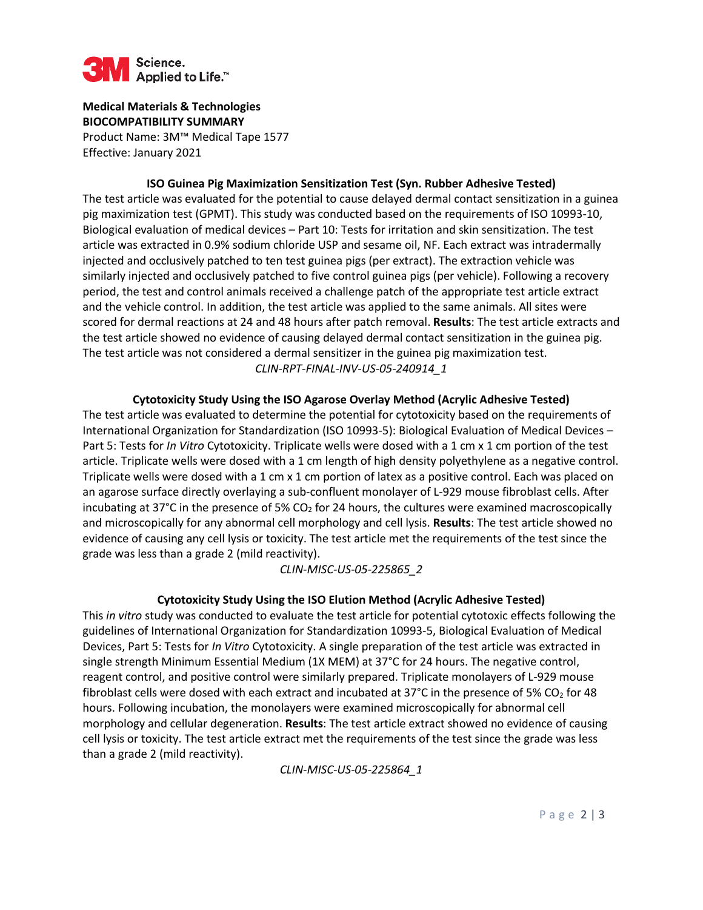

**Medical Materials & Technologies BIOCOMPATIBILITY SUMMARY**  Product Name: 3M™ Medical Tape 1577 Effective: January 2021

**ISO Guinea Pig Maximization Sensitization Test (Syn. Rubber Adhesive Tested)** 

The test article was evaluated for the potential to cause delayed dermal contact sensitization in a guinea pig maximization test (GPMT). This study was conducted based on the requirements of ISO 10993-10, Biological evaluation of medical devices – Part 10: Tests for irritation and skin sensitization. The test article was extracted in 0.9% sodium chloride USP and sesame oil, NF. Each extract was intradermally injected and occlusively patched to ten test guinea pigs (per extract). The extraction vehicle was similarly injected and occlusively patched to five control guinea pigs (per vehicle). Following a recovery period, the test and control animals received a challenge patch of the appropriate test article extract and the vehicle control. In addition, the test article was applied to the same animals. All sites were scored for dermal reactions at 24 and 48 hours after patch removal. **Results**: The test article extracts and the test article showed no evidence of causing delayed dermal contact sensitization in the guinea pig. The test article was not considered a dermal sensitizer in the guinea pig maximization test. *CLIN-RPT-FINAL-INV-US-05-240914\_1* 

**Cytotoxicity Study Using the ISO Agarose Overlay Method (Acrylic Adhesive Tested)** 

The test article was evaluated to determine the potential for cytotoxicity based on the requirements of International Organization for Standardization (ISO 10993-5): Biological Evaluation of Medical Devices – Part 5: Tests for *In Vitro* Cytotoxicity. Triplicate wells were dosed with a 1 cm x 1 cm portion of the test article. Triplicate wells were dosed with a 1 cm length of high density polyethylene as a negative control. Triplicate wells were dosed with a 1 cm x 1 cm portion of latex as a positive control. Each was placed on an agarose surface directly overlaying a sub-confluent monolayer of L-929 mouse fibroblast cells. After incubating at 37 $^{\circ}$ C in the presence of 5% CO<sub>2</sub> for 24 hours, the cultures were examined macroscopically and microscopically for any abnormal cell morphology and cell lysis. **Results**: The test article showed no evidence of causing any cell lysis or toxicity. The test article met the requirements of the test since the grade was less than a grade 2 (mild reactivity).

*CLIN-MISC-US-05-225865\_2*

#### **Cytotoxicity Study Using the ISO Elution Method (Acrylic Adhesive Tested)**

This *in vitro* study was conducted to evaluate the test article for potential cytotoxic effects following the guidelines of International Organization for Standardization 10993-5, Biological Evaluation of Medical Devices, Part 5: Tests for *In Vitro* Cytotoxicity. A single preparation of the test article was extracted in single strength Minimum Essential Medium (1X MEM) at 37°C for 24 hours. The negative control, reagent control, and positive control were similarly prepared. Triplicate monolayers of L-929 mouse fibroblast cells were dosed with each extract and incubated at 37°C in the presence of 5% CO<sub>2</sub> for 48 hours. Following incubation, the monolayers were examined microscopically for abnormal cell morphology and cellular degeneration. **Results**: The test article extract showed no evidence of causing cell lysis or toxicity. The test article extract met the requirements of the test since the grade was less than a grade 2 (mild reactivity).

*CLIN-MISC-US-05-225864\_1*